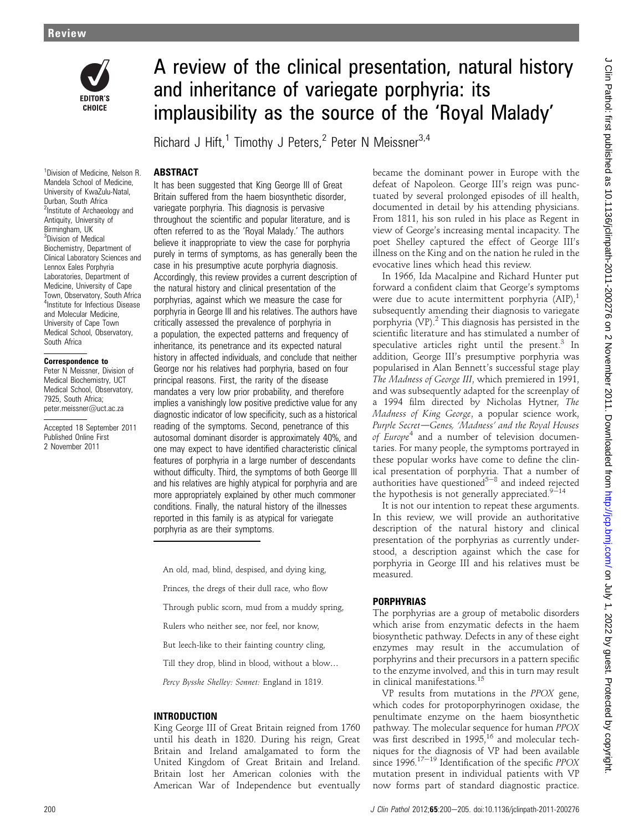

# A review of the clinical presentation, natural history and inheritance of variegate porphyria: its implausibility as the source of the 'Royal Malady'

Richard J Hift,<sup>1</sup> Timothy J Peters,<sup>2</sup> Peter N Meissner<sup>3,4</sup>

# **ABSTRACT**

<sup>1</sup> Division of Medicine, Nelson R. Mandela School of Medicine, University of KwaZulu-Natal, Durban, South Africa <sup>2</sup>Institute of Archaeology and Antiquity, University of Birmingham, UK 3 Division of Medical Biochemistry, Department of Clinical Laboratory Sciences and Lennox Eales Porphyria Laboratories, Department of Medicine, University of Cape Town, Observatory, South Africa 4 Institute for Infectious Disease and Molecular Medicine, University of Cape Town Medical School, Observatory, South Africa

# Correspondence to

Peter N Meissner, Division of Medical Biochemistry, UCT Medical School, Observatory, 7925, South Africa; peter.meissner@uct.ac.za

Accepted 18 September 2011 Published Online First 2 November 2011

It has been suggested that King George III of Great Britain suffered from the haem biosynthetic disorder, variegate porphyria. This diagnosis is pervasive throughout the scientific and popular literature, and is often referred to as the 'Royal Malady.' The authors believe it inappropriate to view the case for porphyria purely in terms of symptoms, as has generally been the case in his presumptive acute porphyria diagnosis. Accordingly, this review provides a current description of the natural history and clinical presentation of the porphyrias, against which we measure the case for porphyria in George III and his relatives. The authors have critically assessed the prevalence of porphyria in a population, the expected patterns and frequency of inheritance, its penetrance and its expected natural history in affected individuals, and conclude that neither George nor his relatives had porphyria, based on four principal reasons. First, the rarity of the disease mandates a very low prior probability, and therefore implies a vanishingly low positive predictive value for any diagnostic indicator of low specificity, such as a historical reading of the symptoms. Second, penetrance of this autosomal dominant disorder is approximately 40%, and one may expect to have identified characteristic clinical features of porphyria in a large number of descendants without difficulty. Third, the symptoms of both George III and his relatives are highly atypical for porphyria and are more appropriately explained by other much commoner conditions. Finally, the natural history of the illnesses reported in this family is as atypical for variegate porphyria as are their symptoms.

An old, mad, blind, despised, and dying king,

Princes, the dregs of their dull race, who flow

Through public scorn, mud from a muddy spring,

Rulers who neither see, nor feel, nor know,

But leech-like to their fainting country cling,

Till they drop, blind in blood, without a blow.

Percy Bysshe Shelley: Sonnet: England in 1819.

# INTRODUCTION

King George III of Great Britain reigned from 1760 until his death in 1820. During his reign, Great Britain and Ireland amalgamated to form the United Kingdom of Great Britain and Ireland. Britain lost her American colonies with the American War of Independence but eventually became the dominant power in Europe with the defeat of Napoleon. George III's reign was punctuated by several prolonged episodes of ill health, documented in detail by his attending physicians. From 1811, his son ruled in his place as Regent in view of George's increasing mental incapacity. The poet Shelley captured the effect of George III's illness on the King and on the nation he ruled in the evocative lines which head this review.

In 1966, Ida Macalpine and Richard Hunter put forward a confident claim that George's symptoms were due to acute intermittent porphyria  $(AIP)$ ,<sup>1</sup> subsequently amending their diagnosis to variegate porphyria (VP).<sup>2</sup> This diagnosis has persisted in the scientific literature and has stimulated a number of speculative articles right until the present. $3$  In addition, George III's presumptive porphyria was popularised in Alan Bennett's successful stage play The Madness of George III, which premiered in 1991, and was subsequently adapted for the screenplay of a 1994 film directed by Nicholas Hytner, The Madness of King George, a popular science work, Purple Secret-Genes, 'Madness' and the Royal Houses of  $Europe<sup>4</sup>$  and a number of television documentaries. For many people, the symptoms portrayed in these popular works have come to define the clinical presentation of porphyria. That a number of<br>authorities have questioned<sup>5–8</sup> and indeed rejected the hypothesis is not generally appreciated. $9-14$ 

It is not our intention to repeat these arguments. In this review, we will provide an authoritative description of the natural history and clinical presentation of the porphyrias as currently understood, a description against which the case for porphyria in George III and his relatives must be measured.

## **PORPHYRIAS**

The porphyrias are a group of metabolic disorders which arise from enzymatic defects in the haem biosynthetic pathway. Defects in any of these eight enzymes may result in the accumulation of porphyrins and their precursors in a pattern specific to the enzyme involved, and this in turn may result in clinical manifestations.<sup>15</sup>

VP results from mutations in the PPOX gene, which codes for protoporphyrinogen oxidase, the penultimate enzyme on the haem biosynthetic pathway. The molecular sequence for human PPOX was first described in 1995.<sup>16</sup> and molecular techniques for the diagnosis of VP had been available since 1996.<sup>17-19</sup> Identification of the specific PPOX mutation present in individual patients with VP now forms part of standard diagnostic practice.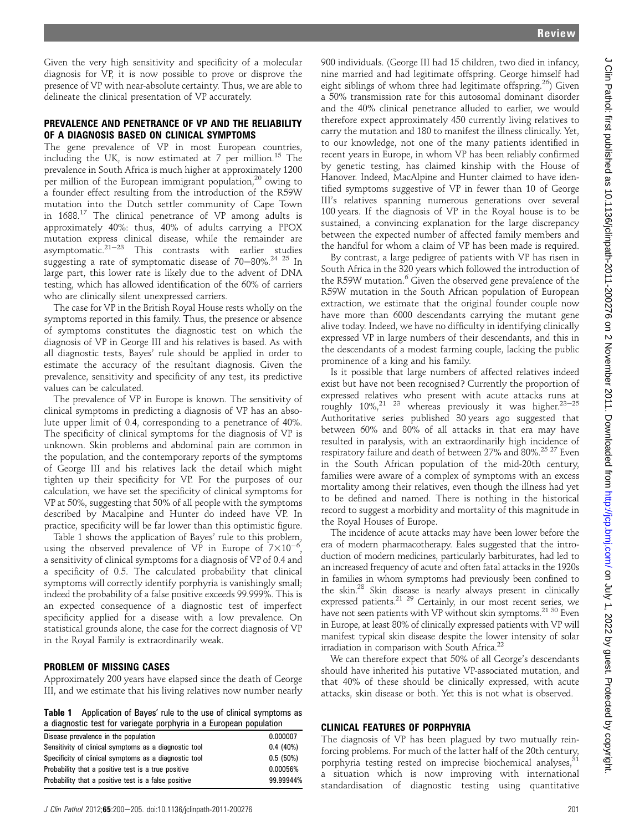Given the very high sensitivity and specificity of a molecular diagnosis for VP, it is now possible to prove or disprove the presence of VP with near-absolute certainty. Thus, we are able to delineate the clinical presentation of VP accurately.

# PREVALENCE AND PENETRANCE OF VP AND THE RELIABILITY OF A DIAGNOSIS BASED ON CLINICAL SYMPTOMS

The gene prevalence of VP in most European countries, including the UK, is now estimated at  $7$  per million.<sup>15</sup> The prevalence in South Africa is much higher at approximately 1200 per million of the European immigrant population,<sup>20</sup> owing to a founder effect resulting from the introduction of the R59W mutation into the Dutch settler community of Cape Town in 1688.<sup>17</sup> The clinical penetrance of VP among adults is approximately 40%: thus, 40% of adults carrying a PPOX mutation express clinical disease, while the remainder are asymptomatic.<sup>21-23</sup> This contrasts with earlier studies suggesting a rate of symptomatic disease of 70-80%.<sup>24 25</sup> In large part, this lower rate is likely due to the advent of DNA testing, which has allowed identification of the 60% of carriers who are clinically silent unexpressed carriers.

The case for VP in the British Royal House rests wholly on the symptoms reported in this family. Thus, the presence or absence of symptoms constitutes the diagnostic test on which the diagnosis of VP in George III and his relatives is based. As with all diagnostic tests, Bayes' rule should be applied in order to estimate the accuracy of the resultant diagnosis. Given the prevalence, sensitivity and specificity of any test, its predictive values can be calculated.

The prevalence of VP in Europe is known. The sensitivity of clinical symptoms in predicting a diagnosis of VP has an absolute upper limit of 0.4, corresponding to a penetrance of 40%. The specificity of clinical symptoms for the diagnosis of VP is unknown. Skin problems and abdominal pain are common in the population, and the contemporary reports of the symptoms of George III and his relatives lack the detail which might tighten up their specificity for VP. For the purposes of our calculation, we have set the specificity of clinical symptoms for VP at 50%, suggesting that 50% of all people with the symptoms described by Macalpine and Hunter do indeed have VP. In practice, specificity will be far lower than this optimistic figure.

Table 1 shows the application of Bayes' rule to this problem, using the observed prevalence of VP in Europe of  $7\times10^{-6}$ , a sensitivity of clinical symptoms for a diagnosis of VP of 0.4 and a specificity of 0.5. The calculated probability that clinical symptoms will correctly identify porphyria is vanishingly small; indeed the probability of a false positive exceeds 99.999%. This is an expected consequence of a diagnostic test of imperfect specificity applied for a disease with a low prevalence. On statistical grounds alone, the case for the correct diagnosis of VP in the Royal Family is extraordinarily weak.

## PROBLEM OF MISSING CASES

Approximately 200 years have elapsed since the death of George III, and we estimate that his living relatives now number nearly

Table 1 Application of Bayes' rule to the use of clinical symptoms as a diagnostic test for variegate porphyria in a European population

| 0.000007  |
|-----------|
| 0.4(40%)  |
| 0.5(50%)  |
| 0.00056%  |
| 99.99944% |
|           |

900 individuals. (George III had 15 children, two died in infancy, nine married and had legitimate offspring. George himself had eight siblings of whom three had legitimate offspring.<sup>26</sup>) Given a 50% transmission rate for this autosomal dominant disorder and the 40% clinical penetrance alluded to earlier, we would therefore expect approximately 450 currently living relatives to carry the mutation and 180 to manifest the illness clinically. Yet, to our knowledge, not one of the many patients identified in recent years in Europe, in whom VP has been reliably confirmed by genetic testing, has claimed kinship with the House of Hanover. Indeed, MacAlpine and Hunter claimed to have identified symptoms suggestive of VP in fewer than 10 of George III's relatives spanning numerous generations over several 100 years. If the diagnosis of VP in the Royal house is to be sustained, a convincing explanation for the large discrepancy between the expected number of affected family members and the handful for whom a claim of VP has been made is required.

By contrast, a large pedigree of patients with VP has risen in South Africa in the 320 years which followed the introduction of the R59W mutation.<sup>6</sup> Given the observed gene prevalence of the R59W mutation in the South African population of European extraction, we estimate that the original founder couple now have more than 6000 descendants carrying the mutant gene alive today. Indeed, we have no difficulty in identifying clinically expressed VP in large numbers of their descendants, and this in the descendants of a modest farming couple, lacking the public prominence of a king and his family.

Is it possible that large numbers of affected relatives indeed exist but have not been recognised? Currently the proportion of expressed relatives who present with acute attacks runs at roughly  $10\%,^{21}$  <sup>23</sup> whereas previously it was higher.<sup>23-25</sup> Authoritative series published 30 years ago suggested that between 60% and 80% of all attacks in that era may have resulted in paralysis, with an extraordinarily high incidence of respiratory failure and death of between 27% and 80%.<sup>25</sup> <sup>27</sup> Even in the South African population of the mid-20th century, families were aware of a complex of symptoms with an excess mortality among their relatives, even though the illness had yet to be defined and named. There is nothing in the historical record to suggest a morbidity and mortality of this magnitude in the Royal Houses of Europe.

The incidence of acute attacks may have been lower before the era of modern pharmacotherapy. Eales suggested that the introduction of modern medicines, particularly barbiturates, had led to an increased frequency of acute and often fatal attacks in the 1920s in families in whom symptoms had previously been confined to the skin.28 Skin disease is nearly always present in clinically expressed patients.<sup>21</sup> <sup>29</sup> Certainly, in our most recent series, we have not seen patients with VP without skin symptoms.<sup>21 30</sup> Even in Europe, at least 80% of clinically expressed patients with VP will manifest typical skin disease despite the lower intensity of solar irradiation in comparison with South Africa. $^{22}$ 

We can therefore expect that 50% of all George's descendants should have inherited his putative VP-associated mutation, and that 40% of these should be clinically expressed, with acute attacks, skin disease or both. Yet this is not what is observed.

## CLINICAL FEATURES OF PORPHYRIA

The diagnosis of VP has been plagued by two mutually reinforcing problems. For much of the latter half of the 20th century, porphyria testing rested on imprecise biochemical analyses, a situation which is now improving with international standardisation of diagnostic testing using quantitative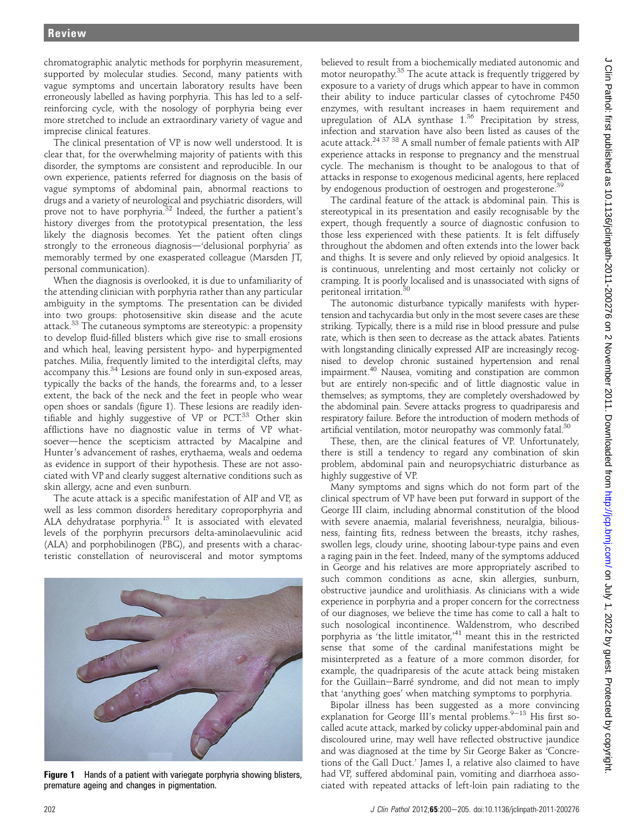chromatographic analytic methods for porphyrin measurement, supported by molecular studies. Second, many patients with vague symptoms and uncertain laboratory results have been erroneously labelled as having porphyria. This has led to a selfreinforcing cycle, with the nosology of porphyria being ever more stretched to include an extraordinary variety of vague and imprecise clinical features.

The clinical presentation of VP is now well understood. It is clear that, for the overwhelming majority of patients with this disorder, the symptoms are consistent and reproducible. In our own experience, patients referred for diagnosis on the basis of vague symptoms of abdominal pain, abnormal reactions to drugs and a variety of neurological and psychiatric disorders, will prove not to have porphyria.<sup>32</sup> Indeed, the further a patient's history diverges from the prototypical presentation, the less likely the diagnosis becomes. Yet the patient often clings strongly to the erroneous diagnosis—'delusional porphyria' as memorably termed by one exasperated colleague (Marsden JT, personal communication).

When the diagnosis is overlooked, it is due to unfamiliarity of the attending clinician with porphyria rather than any particular ambiguity in the symptoms. The presentation can be divided into two groups: photosensitive skin disease and the acute attack.<sup>33</sup> The cutaneous symptoms are stereotypic: a propensity to develop fluid-filled blisters which give rise to small erosions and which heal, leaving persistent hypo- and hyperpigmented patches. Milia, frequently limited to the interdigital clefts, may accompany this.<sup>34</sup> Lesions are found only in sun-exposed areas, typically the backs of the hands, the forearms and, to a lesser extent, the back of the neck and the feet in people who wear open shoes or sandals (figure 1). These lesions are readily identifiable and highly suggestive of VP or  $PCT<sup>33</sup>$  Other skin afflictions have no diagnostic value in terms of VP whatsoever-hence the scepticism attracted by Macalpine and Hunter's advancement of rashes, erythaema, weals and oedema as evidence in support of their hypothesis. These are not associated with VP and clearly suggest alternative conditions such as skin allergy, acne and even sunburn.

The acute attack is a specific manifestation of AIP and VP, as well as less common disorders hereditary coproporphyria and ALA dehydratase porphyria.15 It is associated with elevated levels of the porphyrin precursors delta-aminolaevulinic acid (ALA) and porphobilinogen (PBG), and presents with a characteristic constellation of neurovisceral and motor symptoms



**Figure 1** Hands of a patient with variegate porphyria showing blisters, premature ageing and changes in pigmentation.

believed to result from a biochemically mediated autonomic and motor neuropathy.<sup>35</sup> The acute attack is frequently triggered by exposure to a variety of drugs which appear to have in common their ability to induce particular classes of cytochrome P450 enzymes, with resultant increases in haem requirement and upregulation of ALA synthase 1.36 Precipitation by stress, infection and starvation have also been listed as causes of the acute attack.24 37 38 A small number of female patients with AIP experience attacks in response to pregnancy and the menstrual cycle. The mechanism is thought to be analogous to that of attacks in response to exogenous medicinal agents, here replaced by endogenous production of oestrogen and progesterone.<sup>3</sup>

The cardinal feature of the attack is abdominal pain. This is stereotypical in its presentation and easily recognisable by the expert, though frequently a source of diagnostic confusion to those less experienced with these patients. It is felt diffusely throughout the abdomen and often extends into the lower back and thighs. It is severe and only relieved by opioid analgesics. It is continuous, unrelenting and most certainly not colicky or cramping. It is poorly localised and is unassociated with signs of peritoneal irritation.<sup>30</sup>

The autonomic disturbance typically manifests with hypertension and tachycardia but only in the most severe cases are these striking. Typically, there is a mild rise in blood pressure and pulse rate, which is then seen to decrease as the attack abates. Patients with longstanding clinically expressed AIP are increasingly recognised to develop chronic sustained hypertension and renal impairment.<sup>40</sup> Nausea, vomiting and constipation are common but are entirely non-specific and of little diagnostic value in themselves; as symptoms, they are completely overshadowed by the abdominal pain. Severe attacks progress to quadriparesis and respiratory failure. Before the introduction of modern methods of artificial ventilation, motor neuropathy was commonly fatal.<sup>30</sup>

These, then, are the clinical features of VP. Unfortunately, there is still a tendency to regard any combination of skin problem, abdominal pain and neuropsychiatric disturbance as highly suggestive of VP.

Many symptoms and signs which do not form part of the clinical spectrum of VP have been put forward in support of the George III claim, including abnormal constitution of the blood with severe anaemia, malarial feverishness, neuralgia, biliousness, fainting fits, redness between the breasts, itchy rashes, swollen legs, cloudy urine, shooting labour-type pains and even a raging pain in the feet. Indeed, many of the symptoms adduced in George and his relatives are more appropriately ascribed to such common conditions as acne, skin allergies, sunburn, obstructive jaundice and urolithiasis. As clinicians with a wide experience in porphyria and a proper concern for the correctness of our diagnoses, we believe the time has come to call a halt to such nosological incontinence. Waldenstrom, who described porphyria as 'the little imitator,' <sup>41</sup> meant this in the restricted sense that some of the cardinal manifestations might be misinterpreted as a feature of a more common disorder, for example, the quadriparesis of the acute attack being mistaken for the Guillain-Barré syndrome, and did not mean to imply that 'anything goes' when matching symptoms to porphyria.

Bipolar illness has been suggested as a more convincing explanation for George III's mental problems. $9-13$  His first socalled acute attack, marked by colicky upper-abdominal pain and discoloured urine, may well have reflected obstructive jaundice and was diagnosed at the time by Sir George Baker as 'Concretions of the Gall Duct.' James I, a relative also claimed to have had VP, suffered abdominal pain, vomiting and diarrhoea associated with repeated attacks of left-loin pain radiating to the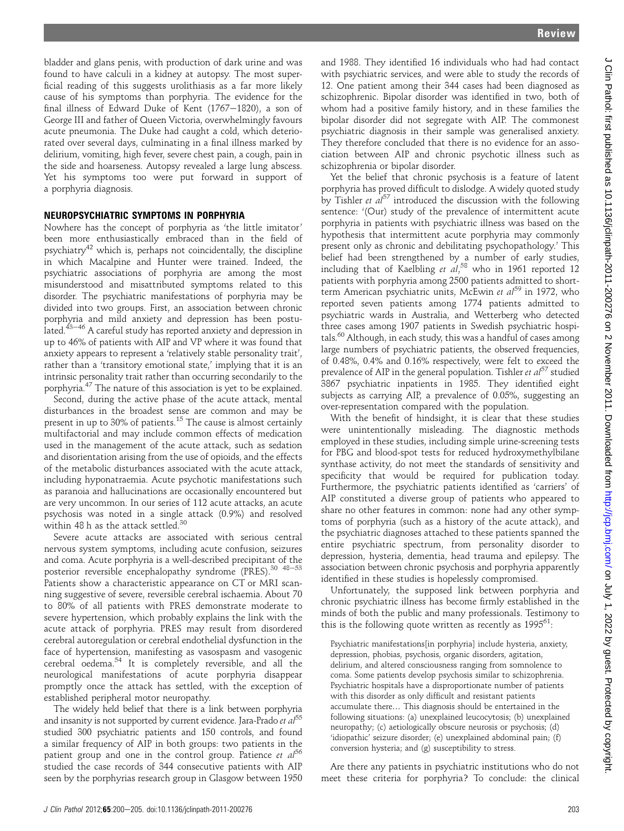bladder and glans penis, with production of dark urine and was found to have calculi in a kidney at autopsy. The most superficial reading of this suggests urolithiasis as a far more likely cause of his symptoms than porphyria. The evidence for the final illness of Edward Duke of Kent  $(1767-1820)$ , a son of George III and father of Queen Victoria, overwhelmingly favours acute pneumonia. The Duke had caught a cold, which deteriorated over several days, culminating in a final illness marked by delirium, vomiting, high fever, severe chest pain, a cough, pain in the side and hoarseness. Autopsy revealed a large lung abscess. Yet his symptoms too were put forward in support of a porphyria diagnosis.

#### NEUROPSYCHIATRIC SYMPTOMS IN PORPHYRIA

Nowhere has the concept of porphyria as 'the little imitator' been more enthusiastically embraced than in the field of psychiatry<sup>42</sup> which is, perhaps not coincidentally, the discipline in which Macalpine and Hunter were trained. Indeed, the psychiatric associations of porphyria are among the most misunderstood and misattributed symptoms related to this disorder. The psychiatric manifestations of porphyria may be divided into two groups. First, an association between chronic porphyria and mild anxiety and depression has been postulated. $43-46$  A careful study has reported anxiety and depression in up to 46% of patients with AIP and VP where it was found that anxiety appears to represent a 'relatively stable personality trait', rather than a 'transitory emotional state,' implying that it is an intrinsic personality trait rather than occurring secondarily to the porphyria.47 The nature of this association is yet to be explained.

Second, during the active phase of the acute attack, mental disturbances in the broadest sense are common and may be present in up to 30% of patients.<sup>15</sup> The cause is almost certainly multifactorial and may include common effects of medication used in the management of the acute attack, such as sedation and disorientation arising from the use of opioids, and the effects of the metabolic disturbances associated with the acute attack, including hyponatraemia. Acute psychotic manifestations such as paranoia and hallucinations are occasionally encountered but are very uncommon. In our series of 112 acute attacks, an acute psychosis was noted in a single attack (0.9%) and resolved within 48 h as the attack settled.<sup>30</sup>

Severe acute attacks are associated with serious central nervous system symptoms, including acute confusion, seizures and coma. Acute porphyria is a well-described precipitant of the posterior reversible encephalopathy syndrome (PRES).<sup>30</sup> <sup>48-53</sup> Patients show a characteristic appearance on CT or MRI scanning suggestive of severe, reversible cerebral ischaemia. About 70 to 80% of all patients with PRES demonstrate moderate to severe hypertension, which probably explains the link with the acute attack of porphyria. PRES may result from disordered cerebral autoregulation or cerebral endothelial dysfunction in the face of hypertension, manifesting as vasospasm and vasogenic cerebral oedema.<sup>54</sup> It is completely reversible, and all the neurological manifestations of acute porphyria disappear promptly once the attack has settled, with the exception of established peripheral motor neuropathy.

The widely held belief that there is a link between porphyria and insanity is not supported by current evidence. Jara-Prado *et al*<sup>55</sup> studied 300 psychiatric patients and 150 controls, and found a similar frequency of AIP in both groups: two patients in the patient group and one in the control group. Patience *et*  $a^{56}$ studied the case records of 344 consecutive patients with AIP seen by the porphyrias research group in Glasgow between 1950

and 1988. They identified 16 individuals who had had contact with psychiatric services, and were able to study the records of 12. One patient among their 344 cases had been diagnosed as schizophrenic. Bipolar disorder was identified in two, both of whom had a positive family history, and in these families the bipolar disorder did not segregate with AIP. The commonest psychiatric diagnosis in their sample was generalised anxiety. They therefore concluded that there is no evidence for an association between AIP and chronic psychotic illness such as schizophrenia or bipolar disorder.

Yet the belief that chronic psychosis is a feature of latent porphyria has proved difficult to dislodge. A widely quoted study by Tishler et  $aI^{57}$  introduced the discussion with the following sentence: '(Our) study of the prevalence of intermittent acute porphyria in patients with psychiatric illness was based on the hypothesis that intermittent acute porphyria may commonly present only as chronic and debilitating psychopathology.' This belief had been strengthened by a number of early studies, including that of Kaelbling et  $al$ ,<sup>58</sup> who in 1961 reported 12 patients with porphyria among 2500 patients admitted to shortterm American psychiatric units, McEwin et  $a^{59}$  in 1972, who reported seven patients among 1774 patients admitted to psychiatric wards in Australia, and Wetterberg who detected three cases among 1907 patients in Swedish psychiatric hospitals.<sup>60</sup> Although, in each study, this was a handful of cases among large numbers of psychiatric patients, the observed frequencies, of 0.48%, 0.4% and 0.16% respectively, were felt to exceed the prevalence of AIP in the general population. Tishler *et al*<sup>57</sup> studied 3867 psychiatric inpatients in 1985. They identified eight subjects as carrying AIP, a prevalence of 0.05%, suggesting an over-representation compared with the population.

With the benefit of hindsight, it is clear that these studies were unintentionally misleading. The diagnostic methods employed in these studies, including simple urine-screening tests for PBG and blood-spot tests for reduced hydroxymethylbilane synthase activity, do not meet the standards of sensitivity and specificity that would be required for publication today. Furthermore, the psychiatric patients identified as 'carriers' of AIP constituted a diverse group of patients who appeared to share no other features in common: none had any other symptoms of porphyria (such as a history of the acute attack), and the psychiatric diagnoses attached to these patients spanned the entire psychiatric spectrum, from personality disorder to depression, hysteria, dementia, head trauma and epilepsy. The association between chronic psychosis and porphyria apparently identified in these studies is hopelessly compromised.

Unfortunately, the supposed link between porphyria and chronic psychiatric illness has become firmly established in the minds of both the public and many professionals. Testimony to this is the following quote written as recently as  $1995^{61}$ .

Psychiatric manifestations[in porphyria] include hysteria, anxiety, depression, phobias, psychosis, organic disorders, agitation, delirium, and altered consciousness ranging from somnolence to coma. Some patients develop psychosis similar to schizophrenia. Psychiatric hospitals have a disproportionate number of patients with this disorder as only difficult and resistant patients accumulate there... This diagnosis should be entertained in the following situations: (a) unexplained leucocytosis; (b) unexplained neuropathy; (c) aetiologically obscure neurosis or psychosis; (d) 'idiopathic' seizure disorder; (e) unexplained abdominal pain; (f) conversion hysteria; and (g) susceptibility to stress.

Are there any patients in psychiatric institutions who do not meet these criteria for porphyria? To conclude: the clinical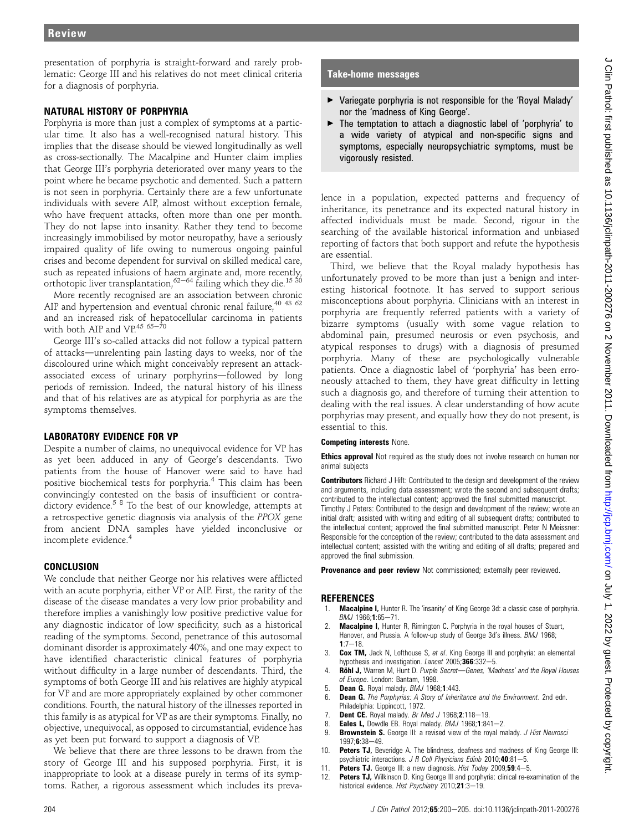presentation of porphyria is straight-forward and rarely problematic: George III and his relatives do not meet clinical criteria for a diagnosis of porphyria.

# NATURAL HISTORY OF PORPHYRIA

Porphyria is more than just a complex of symptoms at a particular time. It also has a well-recognised natural history. This implies that the disease should be viewed longitudinally as well as cross-sectionally. The Macalpine and Hunter claim implies that George III's porphyria deteriorated over many years to the point where he became psychotic and demented. Such a pattern is not seen in porphyria. Certainly there are a few unfortunate individuals with severe AIP, almost without exception female, who have frequent attacks, often more than one per month. They do not lapse into insanity. Rather they tend to become increasingly immobilised by motor neuropathy, have a seriously impaired quality of life owing to numerous ongoing painful crises and become dependent for survival on skilled medical care, such as repeated infusions of haem arginate and, more recently,<br>orthotopic liver transplantation,<sup>62—64</sup> failing which they die.<sup>15 30</sup>

More recently recognised are an association between chronic AIP and hypertension and eventual chronic renal failure,  $40$   $43$   $62$ and an increased risk of hepatocellular carcinoma in patients with both AIP and VP.<sup>45 65-70</sup>

George III's so-called attacks did not follow a typical pattern of attacks-unrelenting pain lasting days to weeks, nor of the discoloured urine which might conceivably represent an attackassociated excess of urinary porphyrins-followed by long periods of remission. Indeed, the natural history of his illness and that of his relatives are as atypical for porphyria as are the symptoms themselves.

# LABORATORY EVIDENCE FOR VP

Despite a number of claims, no unequivocal evidence for VP has as yet been adduced in any of George's descendants. Two patients from the house of Hanover were said to have had positive biochemical tests for porphyria.<sup>4</sup> This claim has been convincingly contested on the basis of insufficient or contradictory evidence. $58$  To the best of our knowledge, attempts at a retrospective genetic diagnosis via analysis of the PPOX gene from ancient DNA samples have yielded inconclusive or incomplete evidence.<sup>4</sup>

## CONCLUSION

We conclude that neither George nor his relatives were afflicted with an acute porphyria, either VP or AIP. First, the rarity of the disease of the disease mandates a very low prior probability and therefore implies a vanishingly low positive predictive value for any diagnostic indicator of low specificity, such as a historical reading of the symptoms. Second, penetrance of this autosomal dominant disorder is approximately 40%, and one may expect to have identified characteristic clinical features of porphyria without difficulty in a large number of descendants. Third, the symptoms of both George III and his relatives are highly atypical for VP and are more appropriately explained by other commoner conditions. Fourth, the natural history of the illnesses reported in this family is as atypical for VP as are their symptoms. Finally, no objective, unequivocal, as opposed to circumstantial, evidence has as yet been put forward to support a diagnosis of VP.

We believe that there are three lessons to be drawn from the story of George III and his supposed porphyria. First, it is inappropriate to look at a disease purely in terms of its symptoms. Rather, a rigorous assessment which includes its preva-

## Take-home messages

- < Variegate porphyria is not responsible for the 'Royal Malady' nor the 'madness of King George'.
- < The temptation to attach a diagnostic label of 'porphyria' to a wide variety of atypical and non-specific signs and symptoms, especially neuropsychiatric symptoms, must be vigorously resisted.

lence in a population, expected patterns and frequency of inheritance, its penetrance and its expected natural history in affected individuals must be made. Second, rigour in the searching of the available historical information and unbiased reporting of factors that both support and refute the hypothesis are essential.

Third, we believe that the Royal malady hypothesis has unfortunately proved to be more than just a benign and interesting historical footnote. It has served to support serious misconceptions about porphyria. Clinicians with an interest in porphyria are frequently referred patients with a variety of bizarre symptoms (usually with some vague relation to abdominal pain, presumed neurosis or even psychosis, and atypical responses to drugs) with a diagnosis of presumed porphyria. Many of these are psychologically vulnerable patients. Once a diagnostic label of 'porphyria' has been erroneously attached to them, they have great difficulty in letting such a diagnosis go, and therefore of turning their attention to dealing with the real issues. A clear understanding of how acute porphyrias may present, and equally how they do not present, is essential to this.

## Competing interests None.

**Ethics approval** Not required as the study does not involve research on human nor animal subjects

Contributors Richard J Hift: Contributed to the design and development of the review and arguments, including data assessment; wrote the second and subsequent drafts; contributed to the intellectual content; approved the final submitted manuscript. Timothy J Peters: Contributed to the design and development of the review; wrote an initial draft; assisted with writing and editing of all subsequent drafts; contributed to the intellectual content; approved the final submitted manuscript. Peter N Meissner: Responsible for the conception of the review; contributed to the data assessment and intellectual content; assisted with the writing and editing of all drafts; prepared and approved the final submission.

Provenance and peer review Not commissioned; externally peer reviewed.

## **REFERENCES**

- Macalpine I, Hunter R. The 'insanity' of King George 3d: a classic case of porphyria.  $BMJ$  1966:1:65-71.
- 2. Macalpine I, Hunter R, Rimington C. Porphyria in the royal houses of Stuart, Hanover, and Prussia. A follow-up study of George 3d's illness. BMJ 1968;  $1:7-18$
- 3. **Cox TM,** Jack N, Lofthouse S, et al. King George III and porphyria: an elemental hypothesis and investigation. Lancet  $2005$ ; 366:332-5.
- 4. **Röhl J,** Warren M, Hunt D. Purple Secret-Genes, 'Madness' and the Royal Houses of Europe. London: Bantam, 1998.
- 5. **Dean G.** Royal malady. *BMJ* 1968;1:443.
- 6. Dean G. The Porphyrias: A Story of Inheritance and the Environment. 2nd edn. Philadelphia: Lippincott, 1972.
- 7. Dent CE. Royal malady. Br Med J  $1968;2:118-19$ .
- 8. **Eales L,** Dowdle EB. Royal malady.  $BMJ$  1968; **1**:841-2.
- 9. Brownstein S. George III: a revised view of the royal malady. J Hist Neurosci  $1997:6:38-49.$
- 10. Peters TJ, Beveridge A. The blindness, deafness and madness of King George III: psychiatric interactions. J R Coll Physicians Edinb 2010;40:81-5.
- 11. Peters TJ. George III: a new diagnosis. Hist Today 2009;59:4-5.
- 12. Peters TJ, Wilkinson D. King George III and porphyria: clinical re-examination of the historical evidence. Hist Psychiatry 2010;21:3-19.